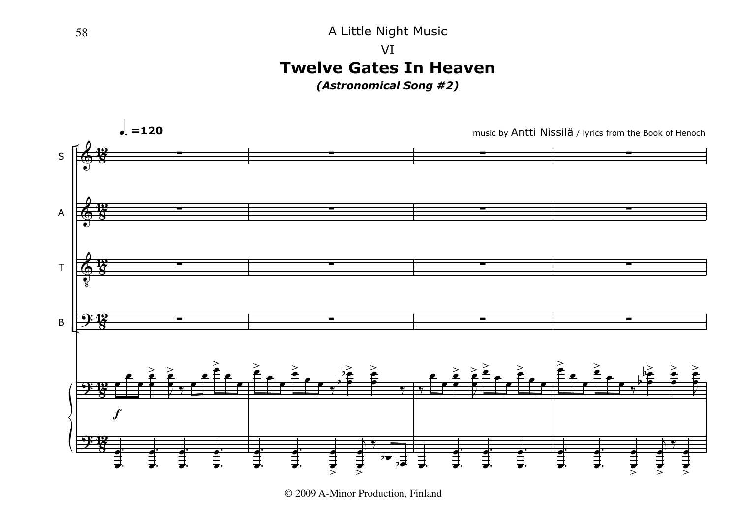A Little Night Music  $VI$ Twelve Gates In Heaven (Astronomical Song #2)

 $\overline{\phantom{a}}$  = 120 music by <code>Antti Nissilä</code> / Iyrics from the Book of Henoch  $\frac{1}{2}$ 42 . . . . . . ▁ S 8  $\frac{1}{9}$ 42 . . . . A 8  $\frac{1}{2}$ 42  $\mathsf T$ . . . . 8  $\overline{\mathbf{P}}$ 42 ▃ ▃ B 8 > > >  $>$   $\geq$ > >  $\frac{1}{2}$ > > > > > o ø 0 Ø 0 ø 0 ø 0 0 0 Ø 0 Ø 0 0 0 o o 0  $\overline{\phantom{a}}$  $\bullet$ Ð O  $\overline{\mathbf{r}}$ ο Ø o Ð Ø Ø ο Ø ø Đ Ø Ø Ø 42 P P 7 7 7 7 7 8  $\boldsymbol{f}$  $\overline{\mathbf{r}}$ 42 ₿ Þ 7 7 8 ٠ ٠ ٠ ٠ ٠ ٠ ٠ ٠ O O σ σ o o σ σ o o o O O o o O bz 극 ⋣ σ. σ. O ο O σ.  $\overline{\varepsilon}$  $\overline{\varepsilon}$ σ. O O σ. σ.  $\overline{\varepsilon}$ ο  $\overline{\varepsilon}$ ٠ ٠ ٠ ٠ ٠ ٠ >

© 2009 A-Minor Production, Finland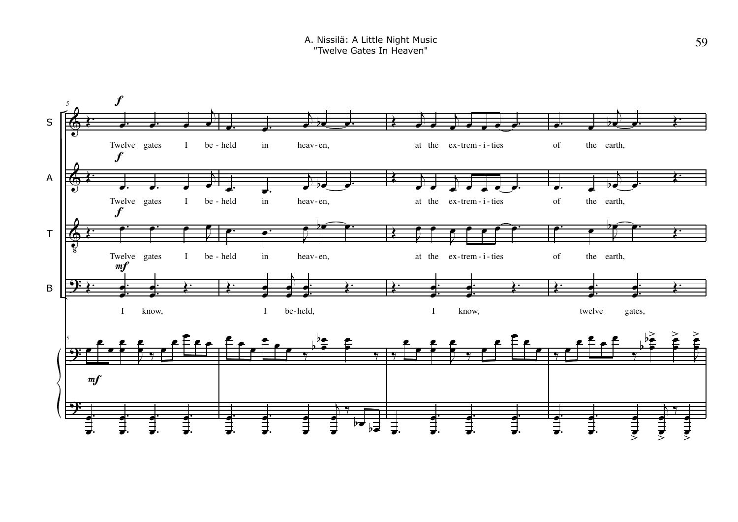## A. Nissilä: A Little Night Music "Twelve Gates In Heaven"

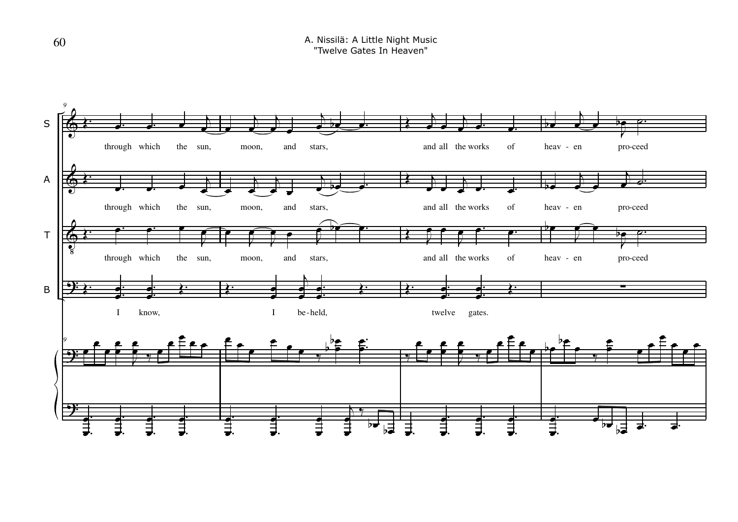

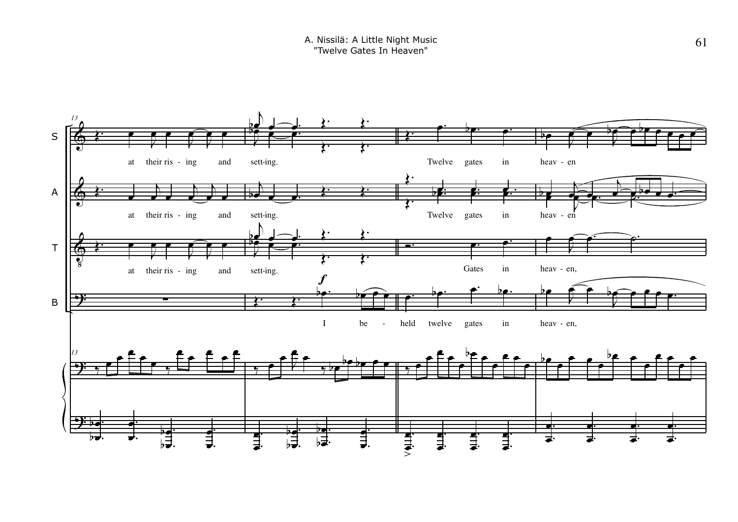## A. Nissilä: A Little Night Music "Twelve Gates In Heaven"

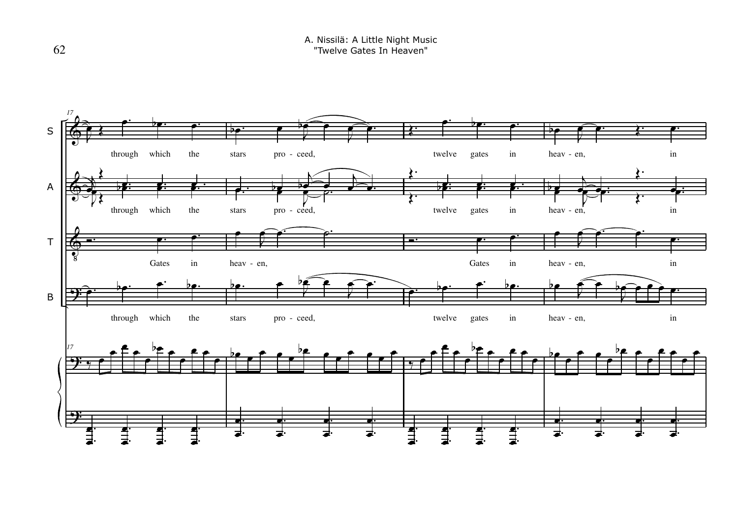

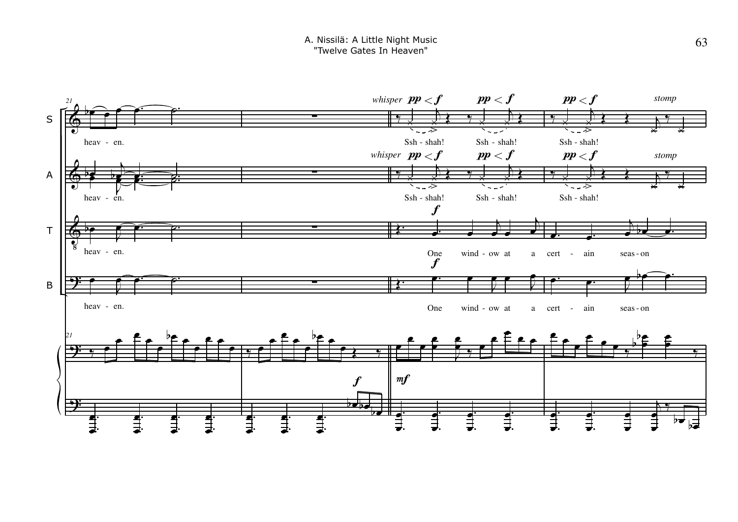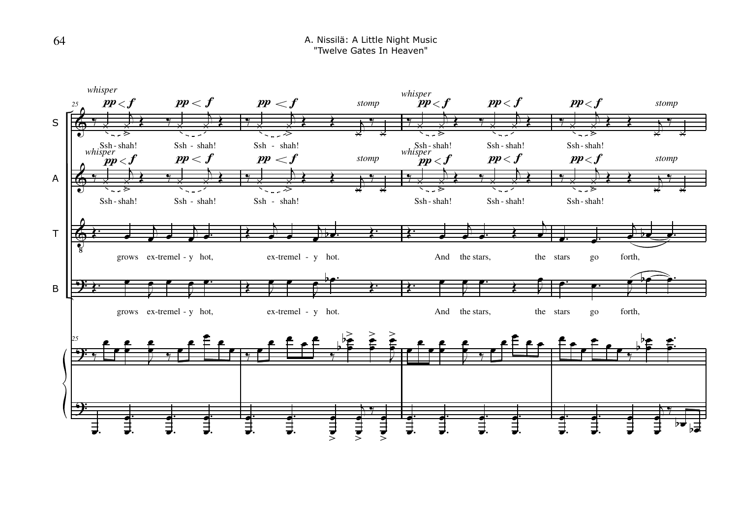## $4\,$ . Nissilä: A Little Night Music "Twelve Gates In Heaven"

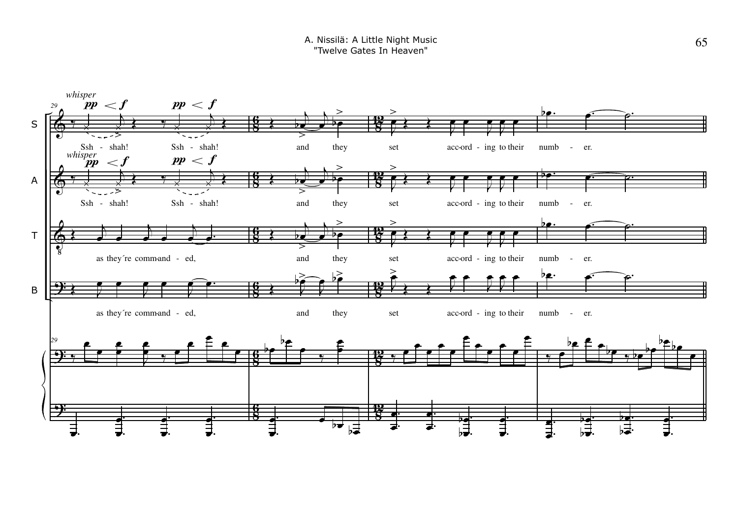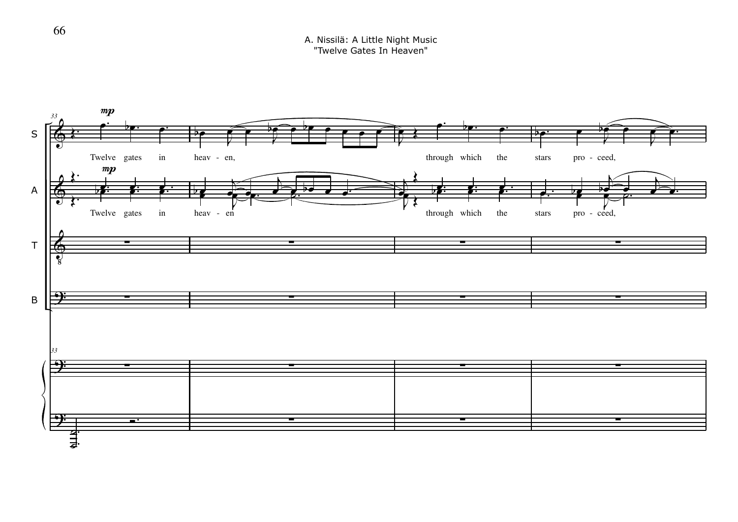

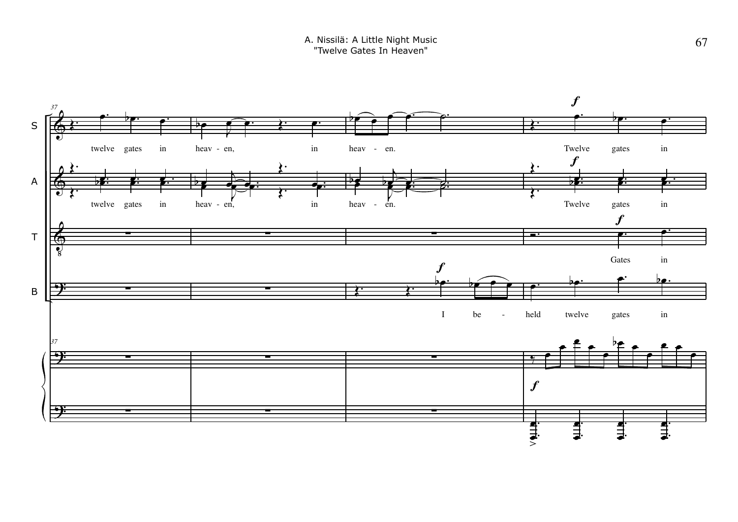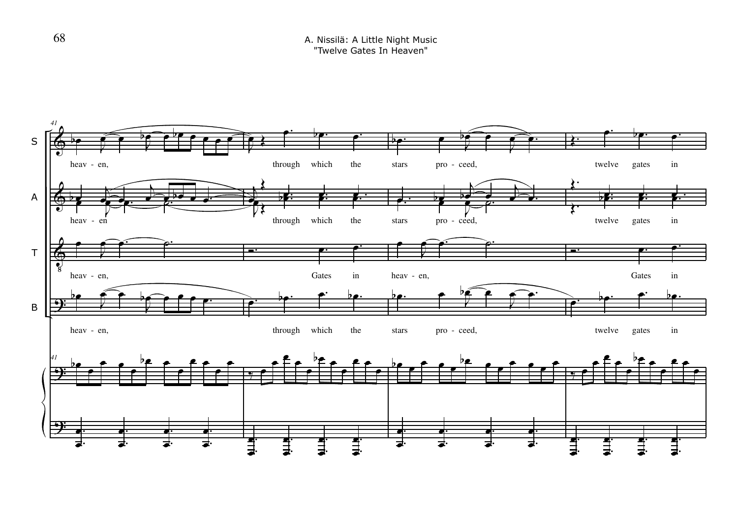## A. Nissilä: A Little Night Music "Twelve Gates In Heaven"